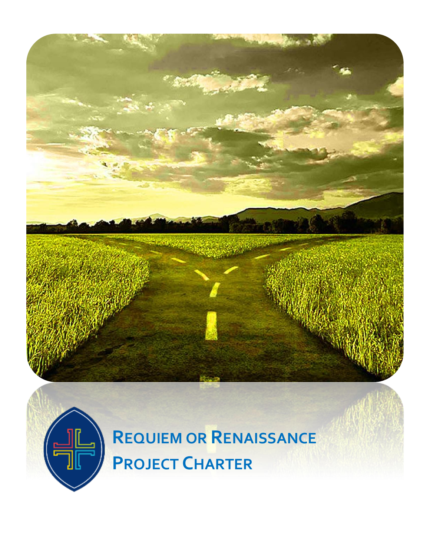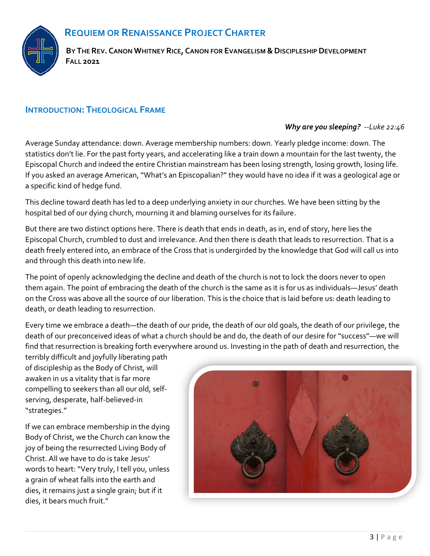## **REQUIEM OR RENAISSANCE PROJECT CHARTER**



BY THE REV. CANON WHITNEY RICE, CANON FOR EVANGELISM & DISCIPLESHIP DEVELOPMENT **FALL 2021**

## **INTRODUCTION: THEOLOGICAL FRAME**

#### *Why are you sleeping? --Luke 22:46*

Average Sunday attendance: down. Average membership numbers: down. Yearly pledge income: down. The statistics don't lie. For the past forty years, and accelerating like a train down a mountain for the last twenty, the Episcopal Church and indeed the entire Christian mainstream has been losing strength, losing growth, losing life. If you asked an average American, "What's an Episcopalian?" they would have no idea if it was a geological age or a specific kind of hedge fund.

This decline toward death has led to a deep underlying anxiety in our churches. We have been sitting by the hospital bed of our dying church, mourning it and blaming ourselves for its failure.

But there are two distinct options here. There is death that ends in death, as in, end of story, here lies the Episcopal Church, crumbled to dust and irrelevance. And then there is death that leads to resurrection. That is a death freely entered into, an embrace of the Cross that is undergirded by the knowledge that God will call us into and through this death into new life.

The point of openly acknowledging the decline and death of the church is not to lock the doors never to open them again. The point of embracing the death of the church is the same as it is for us as individuals—Jesus' death on the Cross was above all the source of our liberation. This is the choice that is laid before us: death leading to death, or death leading to resurrection.

Every time we embrace a death—the death of our pride, the death of our old goals, the death of our privilege, the death of our preconceived ideas of what a church should be and do, the death of our desire for "success"—we will find that resurrection is breaking forth everywhere around us. Investing in the path of death and resurrection, the

terribly difficult and joyfully liberating path of discipleship as the Body of Christ, will awaken in us a vitality that is far more compelling to seekers than all our old, selfserving, desperate, half-believed-in "strategies."

If we can embrace membership in the dying Body of Christ, we the Church can know the joy of being the resurrected Living Body of Christ. All we have to do is take Jesus' words to heart: "Very truly, I tell you, unless a grain of wheat falls into the earth and dies, it remains just a single grain; but if it dies, it bears much fruit."

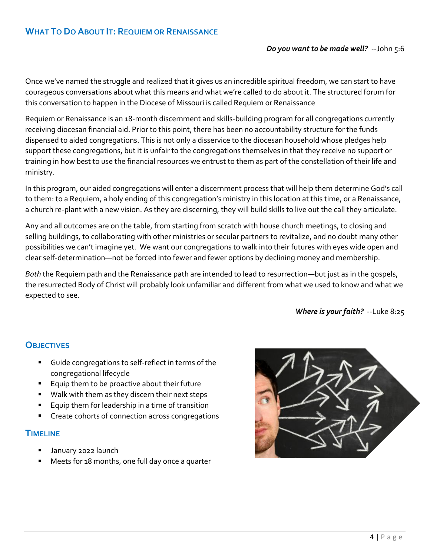## **WHAT TO DO ABOUT IT: REQUIEM OR RENAISSANCE**

#### *Do you want to be made well?* --John 5:6

Once we've named the struggle and realized that it gives us an incredible spiritual freedom, we can start to have courageous conversations about what this means and what we're called to do about it. The structured forum for this conversation to happen in the Diocese of Missouri is called Requiem or Renaissance

Requiem or Renaissance is an 18-month discernment and skills-building program for all congregations currently receiving diocesan financial aid. Prior to this point, there has been no accountability structure for the funds dispensed to aided congregations. This is not only a disservice to the diocesan household whose pledges help support these congregations, but it is unfair to the congregations themselves in that they receive no support or training in how best to use the financial resources we entrust to them as part of the constellation of their life and ministry.

In this program, our aided congregations will enter a discernment process that will help them determine God's call to them: to a Requiem, a holy ending of this congregation's ministry in this location at this time, or a Renaissance, a church re-plant with a new vision. As they are discerning, they will build skills to live out the call they articulate.

Any and all outcomes are on the table, from starting from scratch with house church meetings, to closing and selling buildings, to collaborating with other ministries or secular partners to revitalize, and no doubt many other possibilities we can't imagine yet. We want our congregations to walk into their futures with eyes wide open and clear self-determination—not be forced into fewer and fewer options by declining money and membership.

*Both* the Requiem path and the Renaissance path are intended to lead to resurrection—but just as in the gospels, the resurrected Body of Christ will probably look unfamiliar and different from what we used to know and what we expected to see.

*Where is your faith?* --Luke 8:25

## **OBJECTIVES**

- Guide congregations to self-reflect in terms of the congregational lifecycle
- Equip them to be proactive about their future
- Walk with them as they discern their next steps
- Equip them for leadership in a time of transition
- Create cohorts of connection across congregations

#### **TIMELINE**

- January 2022 launch
- Meets for 18 months, one full day once a quarter

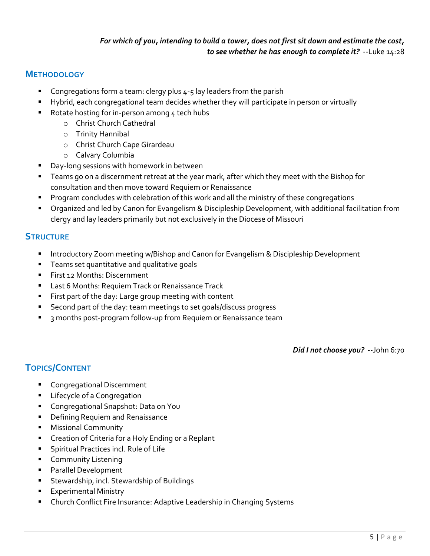#### *For which of you, intending to build a tower, does not first sit down and estimate the cost, to see whether he has enough to complete it?* --Luke 14:28

## **METHODOLOGY**

- Congregations form a team: clergy plus  $4-5$  lay leaders from the parish
- Hybrid, each congregational team decides whether they will participate in person or virtually
- Rotate hosting for in-person among 4 tech hubs
	- o Christ Church Cathedral
	- o Trinity Hannibal
	- o Christ Church Cape Girardeau
	- o Calvary Columbia
- Day-long sessions with homework in between
- Teams go on a discernment retreat at the year mark, after which they meet with the Bishop for consultation and then move toward Requiem or Renaissance
- **•** Program concludes with celebration of this work and all the ministry of these congregations
- Organized and led by Canon for Evangelism & Discipleship Development, with additional facilitation from clergy and lay leaders primarily but not exclusively in the Diocese of Missouri

## **STRUCTURE**

- **■** Introductory Zoom meeting w/Bishop and Canon for Evangelism & Discipleship Development
- **EXE** Teams set quantitative and qualitative goals
- **EXECT:** First 12 Months: Discernment
- Last 6 Months: Requiem Track or Renaissance Track
- First part of the day: Large group meeting with content
- Second part of the day: team meetings to set goals/discuss progress
- 3 months post-program follow-up from Requiem or Renaissance team

*Did I not choose you?* --John 6:70

# **TOPICS/CONTENT**

- Congregational Discernment
- **E** Lifecycle of a Congregation
- Congregational Snapshot: Data on You
- Defining Requiem and Renaissance
- **Missional Community**
- **E** Creation of Criteria for a Holy Ending or a Replant
- Spiritual Practices incl. Rule of Life
- **E** Community Listening
- Parallel Development
- Stewardship, incl. Stewardship of Buildings
- **Experimental Ministry**
- Church Conflict Fire Insurance: Adaptive Leadership in Changing Systems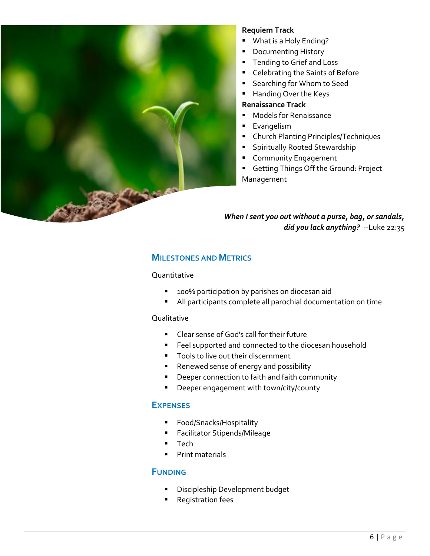

#### **Requiem Track**

- What is a Holy Ending?
- Documenting History
- Tending to Grief and Loss
- Celebrating the Saints of Before
- Searching for Whom to Seed
- Handing Over the Keys

#### **Renaissance Track**

- Models for Renaissance
- **Exangelism**
- Church Planting Principles/Techniques
- **E** Spiritually Rooted Stewardship
- **EXECOMMUNITY Engagement**
- **E** Getting Things Off the Ground: Project Management

#### *When I sent you out without a purse, bag, or sandals, did you lack anything?* --Luke 22:35

#### **MILESTONES AND METRICS**

#### Quantitative

- 100% participation by parishes on diocesan aid
- All participants complete all parochial documentation on time

#### **Qualitative**

- Clear sense of God's call for their future
- **EXEL SUPPORTED And CONNECTED to the diocesan household**
- Tools to live out their discernment
- Renewed sense of energy and possibility
- Deeper connection to faith and faith community
- Deeper engagement with town/city/county

#### **EXPENSES**

- Food/Snacks/Hospitality
- Facilitator Stipends/Mileage
- Tech
- **•** Print materials

#### **FUNDING**

- **E** Discipleship Development budget
- **Registration fees**